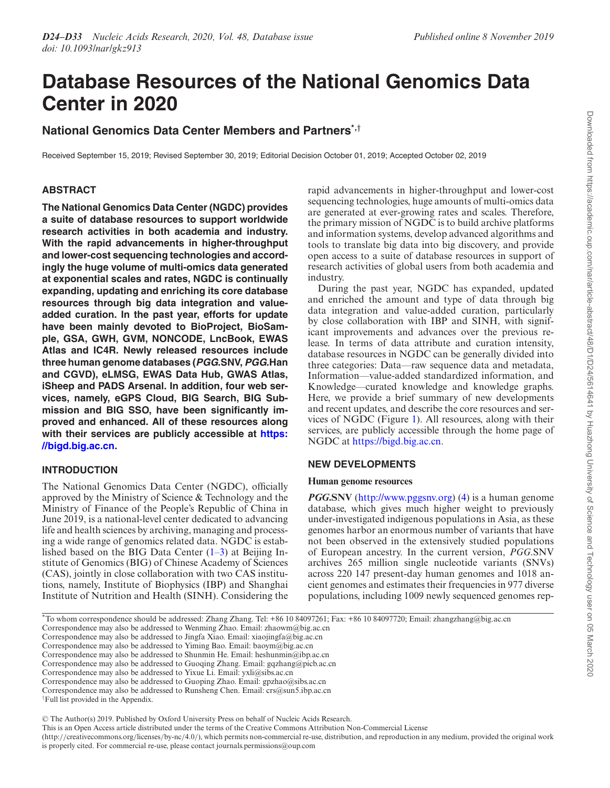# **Database Resources of the National Genomics Data Center in 2020**

# **National Genomics Data Center Members and Partners\*,***†*

Received September 15, 2019; Revised September 30, 2019; Editorial Decision October 01, 2019; Accepted October 02, 2019

# **ABSTRACT**

**The National Genomics Data Center (NGDC) provides a suite of database resources to support worldwide research activities in both academia and industry. With the rapid advancements in higher-throughput and lower-cost sequencing technologies and accordingly the huge volume of multi-omics data generated at exponential scales and rates, NGDC is continually expanding, updating and enriching its core database resources through big data integration and valueadded curation. In the past year, efforts for update have been mainly devoted to BioProject, BioSample, GSA, GWH, GVM, NONCODE, LncBook, EWAS Atlas and IC4R. Newly released resources include three human genome databases (PGG.SNV, PGG.Han and CGVD), eLMSG, EWAS Data Hub, GWAS Atlas, iSheep and PADS Arsenal. In addition, four web services, namely, eGPS Cloud, BIG Search, BIG Submission and BIG SSO, have been significantly improved and enhanced. All of these resources along [with their services are publicly accessible at](https://bigd.big.ac.cn) https: //bigd.big.ac.cn.**

# **INTRODUCTION**

The National Genomics Data Center (NGDC), officially approved by the Ministry of Science & Technology and the Ministry of Finance of the People's Republic of China in June 2019, is a national-level center dedicated to advancing life and health sciences by archiving, managing and processing a wide range of genomics related data. NGDC is established based on the BIG Data Center  $(1-3)$  at Beijing Institute of Genomics (BIG) of Chinese Academy of Sciences (CAS), jointly in close collaboration with two CAS institutions, namely, Institute of Biophysics (IBP) and Shanghai Institute of Nutrition and Health (SINH). Considering the rapid advancements in higher-throughput and lower-cost sequencing technologies, huge amounts of multi-omics data are generated at ever-growing rates and scales. Therefore, the primary mission of NGDC is to build archive platforms and information systems, develop advanced algorithms and tools to translate big data into big discovery, and provide open access to a suite of database resources in support of research activities of global users from both academia and industry.

During the past year, NGDC has expanded, updated and enriched the amount and type of data through big data integration and value-added curation, particularly by close collaboration with IBP and SINH, with significant improvements and advances over the previous release. In terms of data attribute and curation intensity, database resources in NGDC can be generally divided into three categories: Data––raw sequence data and metadata, Information––value-added standardized information, and Knowledge––curated knowledge and knowledge graphs. Here, we provide a brief summary of new developments and recent updates, and describe the core resources and services of NGDC (Figure [1\)](#page-1-0). All resources, along with their services, are publicly accessible through the home page of NGDC at [https://bigd.big.ac.cn.](https://bigd.big.ac.cn)

# **NEW DEVELOPMENTS**

## **Human genome resources**

*PGG***.SNV** [\(http://www.pggsnv.org\)](http://www.pggsnv.org) [\(4\)](#page-6-0) is a human genome database, which gives much higher weight to previously under-investigated indigenous populations in Asia, as these genomes harbor an enormous number of variants that have not been observed in the extensively studied populations of European ancestry. In the current version, *PGG*.SNV archives 265 million single nucleotide variants (SNVs) across 220 147 present-day human genomes and 1018 ancient genomes and estimates their frequencies in 977 diverse populations, including 1009 newly sequenced genomes rep-

\*To whom correspondence should be addressed: Zhang Zhang. Tel: +86 10 84097261; Fax: +86 10 84097720; Email: zhangzhang@big.ac.cn

Correspondence may also be addressed to Wenming Zhao. Email: zhaowm@big.ac.cn

Correspondence may also be addressed to Jingfa Xiao. Email: xiaojingfa@big.ac.cn

Correspondence may also be addressed to Yiming Bao. Email: baoym@big.ac.cn

Correspondence may also be addressed to Shunmin He. Email: heshunmin@ibp.ac.cn

Correspondence may also be addressed to Guoqing Zhang. Email: gqzhang@picb.ac.cn Correspondence may also be addressed to Yixue Li. Email: yxli@sibs.ac.cn

Correspondence may also be addressed to Guoping Zhao. Email: gpzhao@sibs.ac.cn Correspondence may also be addressed to Runsheng Chen. Email: crs@sun5.ibp.ac.cn

<sup>†</sup>Full list provided in the Appendix.

<sup>-</sup><sup>C</sup> The Author(s) 2019. Published by Oxford University Press on behalf of Nucleic Acids Research.

This is an Open Access article distributed under the terms of the Creative Commons Attribution Non-Commercial License

<sup>(</sup>http://creativecommons.org/licenses/by-nc/4.0/), which permits non-commercial re-use, distribution, and reproduction in any medium, provided the original work is properly cited. For commercial re-use, please contact journals.permissions@oup.com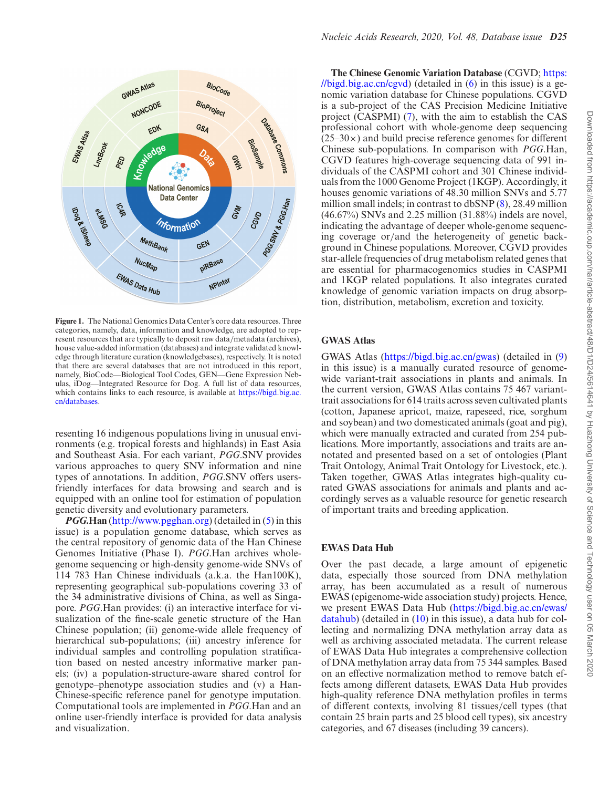<span id="page-1-0"></span>

**Figure 1.** The National Genomics Data Center's core data resources. Three categories, namely, data, information and knowledge, are adopted to represent resources that are typically to deposit raw data/metadata (archives), house value-added information (databases) and integrate validated knowledge through literature curation (knowledgebases), respectively. It is noted that there are several databases that are not introduced in this report, namely, BioCode––Biological Tool Codes, GEN––Gene Expression Nebulas, iDog––Integrated Resource for Dog. A full list of data resources, [which contains links to each resource, is available at](https://bigd.big.ac.cn/databases) https://bigd.big.ac. cn/databases.

resenting 16 indigenous populations living in unusual environments (e.g. tropical forests and highlands) in East Asia and Southeast Asia. For each variant, *PGG*.SNV provides various approaches to query SNV information and nine types of annotations. In addition, *PGG*.SNV offers usersfriendly interfaces for data browsing and search and is equipped with an online tool for estimation of population genetic diversity and evolutionary parameters.

*PGG***.Han** [\(http://www.pgghan.org\)](http://www.pgghan.org) (detailed in [\(5\)](#page-6-0) in this issue) is a population genome database, which serves as the central repository of genomic data of the Han Chinese Genomes Initiative (Phase I). *PGG*.Han archives wholegenome sequencing or high-density genome-wide SNVs of 114 783 Han Chinese individuals (a.k.a. the Han100K), representing geographical sub-populations covering 33 of the 34 administrative divisions of China, as well as Singapore. *PGG*.Han provides: (i) an interactive interface for visualization of the fine-scale genetic structure of the Han Chinese population; (ii) genome-wide allele frequency of hierarchical sub-populations; (iii) ancestry inference for individual samples and controlling population stratification based on nested ancestry informative marker panels; (iv) a population-structure-aware shared control for genotype–phenotype association studies and (v) a Han-Chinese-specific reference panel for genotype imputation. Computational tools are implemented in *PGG*.Han and an online user-friendly interface is provided for data analysis and visualization.

**The Chinese Genomic Variation Database** (CGVD; https: [//bigd.big.ac.cn/cgvd\) \(detailed in \(6\) in this issue\) is a ge](https://bigd.big.ac.cn/cgvd)nomic variation database for Chinese populations. CGVD is a sub-project of the CAS Precision Medicine Initiative project (CASPMI) [\(7\)](#page-6-0), with the aim to establish the CAS professional cohort with whole-genome deep sequencing  $(25-30\times)$  and build precise reference genomes for different Chinese sub-populations. In comparison with *PGG*.Han, CGVD features high-coverage sequencing data of 991 individuals of the CASPMI cohort and 301 Chinese individuals from the 1000 Genome Project (1KGP). Accordingly, it houses genomic variations of 48.30 million SNVs and 5.77 million small indels; in contrast to dbSNP [\(8\)](#page-6-0), 28.49 million (46.67%) SNVs and 2.25 million (31.88%) indels are novel, indicating the advantage of deeper whole-genome sequencing coverage or/and the heterogeneity of genetic background in Chinese populations. Moreover, CGVD provides star-allele frequencies of drug metabolism related genes that are essential for pharmacogenomics studies in CASPMI and 1KGP related populations. It also integrates curated knowledge of genomic variation impacts on drug absorption, distribution, metabolism, excretion and toxicity.

### **GWAS Atlas**

GWAS Atlas [\(https://bigd.big.ac.cn/gwas\)](https://bigd.big.ac.cn/gwas) (detailed in [\(9\)](#page-6-0) in this issue) is a manually curated resource of genomewide variant-trait associations in plants and animals. In the current version, GWAS Atlas contains 75 467 varianttrait associations for 614 traits across seven cultivated plants (cotton, Japanese apricot, maize, rapeseed, rice, sorghum and soybean) and two domesticated animals (goat and pig), which were manually extracted and curated from 254 publications. More importantly, associations and traits are annotated and presented based on a set of ontologies (Plant Trait Ontology, Animal Trait Ontology for Livestock, etc.). Taken together, GWAS Atlas integrates high-quality curated GWAS associations for animals and plants and accordingly serves as a valuable resource for genetic research of important traits and breeding application.

#### **EWAS Data Hub**

Over the past decade, a large amount of epigenetic data, especially those sourced from DNA methylation array, has been accumulated as a result of numerous EWAS (epigenome-wide association study) projects. Hence, [we present EWAS Data Hub \(https://bigd.big.ac.cn/ewas/](https://bigd.big.ac.cn/ewas/datahub) datahub) (detailed in [\(10\)](#page-6-0) in this issue), a data hub for collecting and normalizing DNA methylation array data as well as archiving associated metadata. The current release of EWAS Data Hub integrates a comprehensive collection of DNA methylation array data from 75 344 samples. Based on an effective normalization method to remove batch effects among different datasets, EWAS Data Hub provides high-quality reference DNA methylation profiles in terms of different contexts, involving 81 tissues/cell types (that contain 25 brain parts and 25 blood cell types), six ancestry categories, and 67 diseases (including 39 cancers).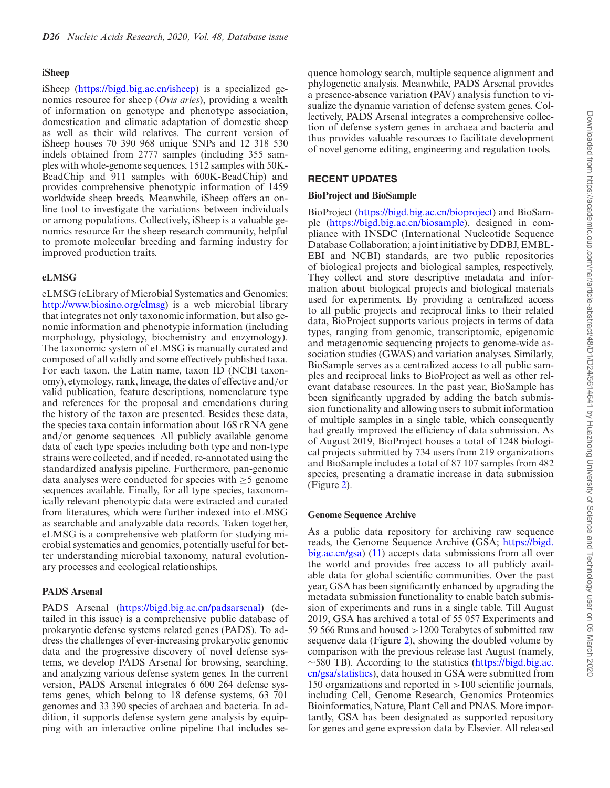#### **iSheep**

iSheep [\(https://bigd.big.ac.cn/isheep\)](https://bigd.big.ac.cn/isheep) is a specialized genomics resource for sheep (*Ovis aries*), providing a wealth of information on genotype and phenotype association, domestication and climatic adaptation of domestic sheep as well as their wild relatives. The current version of iSheep houses 70 390 968 unique SNPs and 12 318 530 indels obtained from 2777 samples (including 355 samples with whole-genome sequences, 1512 samples with 50K-BeadChip and 911 samples with 600K-BeadChip) and provides comprehensive phenotypic information of 1459 worldwide sheep breeds. Meanwhile, iSheep offers an online tool to investigate the variations between individuals or among populations. Collectively, iSheep is a valuable genomics resource for the sheep research community, helpful to promote molecular breeding and farming industry for improved production traits.

#### **eLMSG**

eLMSG (eLibrary of Microbial Systematics and Genomics; [http://www.biosino.org/elmsg\)](http://www.biosino.org/elmsg) is a web microbial library that integrates not only taxonomic information, but also genomic information and phenotypic information (including morphology, physiology, biochemistry and enzymology). The taxonomic system of eLMSG is manually curated and composed of all validly and some effectively published taxa. For each taxon, the Latin name, taxon ID (NCBI taxonomy), etymology, rank, lineage, the dates of effective and/or valid publication, feature descriptions, nomenclature type and references for the proposal and emendations during the history of the taxon are presented. Besides these data, the species taxa contain information about 16S rRNA gene and/or genome sequences. All publicly available genome data of each type species including both type and non-type strains were collected, and if needed, re-annotated using the standardized analysis pipeline. Furthermore, pan-genomic data analyses were conducted for species with  $\geq$ 5 genome sequences available. Finally, for all type species, taxonomically relevant phenotypic data were extracted and curated from literatures, which were further indexed into eLMSG as searchable and analyzable data records. Taken together, eLMSG is a comprehensive web platform for studying microbial systematics and genomics, potentially useful for better understanding microbial taxonomy, natural evolutionary processes and ecological relationships.

#### **PADS Arsenal**

PADS Arsenal [\(https://bigd.big.ac.cn/padsarsenal\)](https://bigd.big.ac.cn/padsarsenal) (detailed in this issue) is a comprehensive public database of prokaryotic defense systems related genes (PADS). To address the challenges of ever-increasing prokaryotic genomic data and the progressive discovery of novel defense systems, we develop PADS Arsenal for browsing, searching, and analyzing various defense system genes. In the current version, PADS Arsenal integrates 6 600 264 defense systems genes, which belong to 18 defense systems, 63 701 genomes and 33 390 species of archaea and bacteria. In addition, it supports defense system gene analysis by equipping with an interactive online pipeline that includes se-

quence homology search, multiple sequence alignment and phylogenetic analysis. Meanwhile, PADS Arsenal provides a presence-absence variation (PAV) analysis function to visualize the dynamic variation of defense system genes. Collectively, PADS Arsenal integrates a comprehensive collection of defense system genes in archaea and bacteria and thus provides valuable resources to facilitate development of novel genome editing, engineering and regulation tools.

## **RECENT UPDATES**

#### **BioProject and BioSample**

BioProject [\(https://bigd.big.ac.cn/bioproject\)](https://bigd.big.ac.cn/bioproject) and BioSample [\(https://bigd.big.ac.cn/biosample\)](https://bigd.big.ac.cn/biosample), designed in compliance with INSDC (International Nucleotide Sequence Database Collaboration; a joint initiative by DDBJ, EMBL-EBI and NCBI) standards, are two public repositories of biological projects and biological samples, respectively. They collect and store descriptive metadata and information about biological projects and biological materials used for experiments. By providing a centralized access to all public projects and reciprocal links to their related data, BioProject supports various projects in terms of data types, ranging from genomic, transcriptomic, epigenomic and metagenomic sequencing projects to genome-wide association studies (GWAS) and variation analyses. Similarly, BioSample serves as a centralized access to all public samples and reciprocal links to BioProject as well as other relevant database resources. In the past year, BioSample has been significantly upgraded by adding the batch submission functionality and allowing users to submit information of multiple samples in a single table, which consequently had greatly improved the efficiency of data submission. As of August 2019, BioProject houses a total of 1248 biological projects submitted by 734 users from 219 organizations and BioSample includes a total of 87 107 samples from 482 species, presenting a dramatic increase in data submission (Figure [2\)](#page-3-0).

#### **Genome Sequence Archive**

As a public data repository for archiving raw sequence reads, the Genome Sequence Archive (GSA; https://bigd. [big.ac.cn/gsa\) \(11\) accepts data submissions from all over](https://bigd.big.ac.cn/gsa) the world and provides free access to all publicly available data for global scientific communities. Over the past year, GSA has been significantly enhanced by upgrading the metadata submission functionality to enable batch submission of experiments and runs in a single table. Till August 2019, GSA has archived a total of 55 057 Experiments and 59 566 Runs and housed >1200 Terabytes of submitted raw sequence data (Figure [2\)](#page-3-0), showing the doubled volume by comparison with the previous release last August (namely, ∼580 TB). According to the statistics (https://bigd.big.ac. [cn/gsa/statistics\), data housed in GSA were submitted from](https://bigd.big.ac.cn/gsa/statistics) 150 organizations and reported in >100 scientific journals, including Cell, Genome Research, Genomics Proteomics Bioinformatics, Nature, Plant Cell and PNAS. More importantly, GSA has been designated as supported repository for genes and gene expression data by Elsevier. All released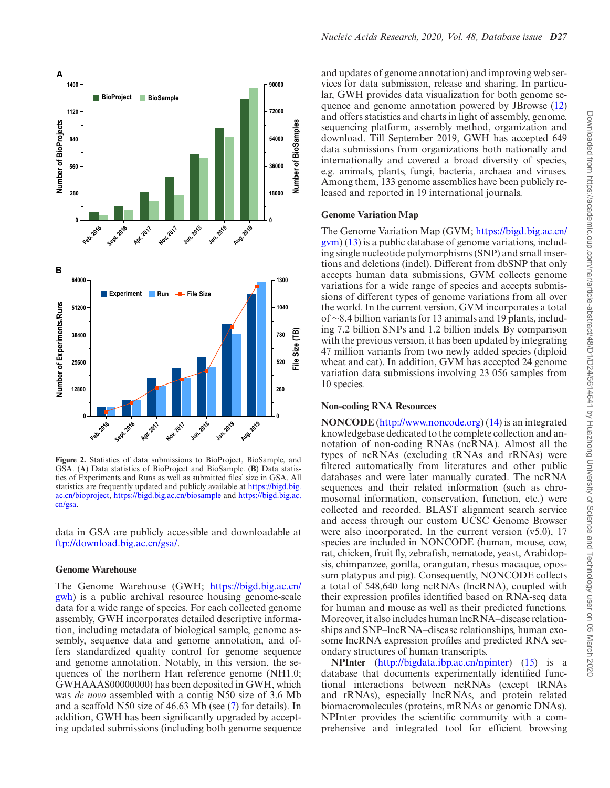<span id="page-3-0"></span>

**Figure 2.** Statistics of data submissions to BioProject, BioSample, and GSA. (**A**) Data statistics of BioProject and BioSample. (**B**) Data statistics of Experiments and Runs as well as submitted files' size in GSA. All [statistics are frequently updated and publicly available at](https://bigd.big.ac.cn/bioproject) https://bigd.big. ac.cn/bioproject, <https://bigd.big.ac.cn/biosample> and https://bigd.big.ac. cn/gsa.

data in GSA are publicly accessible and downloadable at [ftp://download.big.ac.cn/gsa/.](ftp://download.big.ac.cn/gsa/)

#### **Genome Warehouse**

The Genome Warehouse (GWH; https://bigd.big.ac.cn/ [gwh\) is a public archival resource housing genome-scale](https://bigd.big.ac.cn/gwh) data for a wide range of species. For each collected genome assembly, GWH incorporates detailed descriptive information, including metadata of biological sample, genome assembly, sequence data and genome annotation, and offers standardized quality control for genome sequence and genome annotation. Notably, in this version, the sequences of the northern Han reference genome (NH1.0; GWHAAAS00000000) has been deposited in GWH, which was *de novo* assembled with a contig N50 size of 3.6 Mb and a scaffold N50 size of 46.63 Mb (see [\(7\)](#page-6-0) for details). In addition, GWH has been significantly upgraded by accepting updated submissions (including both genome sequence and updates of genome annotation) and improving web services for data submission, release and sharing. In particular, GWH provides data visualization for both genome sequence and genome annotation powered by JBrowse [\(12\)](#page-7-0) and offers statistics and charts in light of assembly, genome, sequencing platform, assembly method, organization and download. Till September 2019, GWH has accepted 649 data submissions from organizations both nationally and internationally and covered a broad diversity of species, e.g. animals, plants, fungi, bacteria, archaea and viruses. Among them, 133 genome assemblies have been publicly released and reported in 19 international journals.

#### **Genome Variation Map**

The Genome Variation Map (GVM; https://bigd.big.ac.cn/ [gvm\) \(13\) is a public database of genome variations, includ](https://bigd.big.ac.cn/gvm)ing single nucleotide polymorphisms (SNP) and small insertions and deletions (indel). Different from dbSNP that only accepts human data submissions, GVM collects genome variations for a wide range of species and accepts submissions of different types of genome variations from all over the world. In the current version, GVM incorporates a total of ∼8.4 billion variants for 13 animals and 19 plants, including 7.2 billion SNPs and 1.2 billion indels. By comparison with the previous version, it has been updated by integrating 47 million variants from two newly added species (diploid wheat and cat). In addition, GVM has accepted 24 genome variation data submissions involving 23 056 samples from 10 species.

#### **Non-coding RNA Resources**

**NONCODE** [\(http://www.noncode.org\)](http://www.noncode.org) [\(14\)](#page-7-0) is an integrated knowledgebase dedicated to the complete collection and annotation of non-coding RNAs (ncRNA). Almost all the types of ncRNAs (excluding tRNAs and rRNAs) were filtered automatically from literatures and other public databases and were later manually curated. The ncRNA sequences and their related information (such as chromosomal information, conservation, function, etc.) were collected and recorded. BLAST alignment search service and access through our custom UCSC Genome Browser were also incorporated. In the current version (v5.0), 17 species are included in NONCODE (human, mouse, cow, rat, chicken, fruit fly, zebrafish, nematode, yeast, Arabidopsis, chimpanzee, gorilla, orangutan, rhesus macaque, opossum platypus and pig). Consequently, NONCODE collects a total of 548,640 long ncRNAs (lncRNA), coupled with their expression profiles identified based on RNA-seq data for human and mouse as well as their predicted functions. Moreover, it also includes human lncRNA–disease relationships and SNP–lncRNA–disease relationships, human exosome lncRNA expression profiles and predicted RNA secondary structures of human transcripts.

**NPInter** [\(http://bigdata.ibp.ac.cn/npinter\)](http://bigdata.ibp.ac.cn/npinter) [\(15\)](#page-7-0) is a database that documents experimentally identified functional interactions between ncRNAs (except tRNAs and rRNAs), especially lncRNAs, and protein related biomacromolecules (proteins, mRNAs or genomic DNAs). NPInter provides the scientific community with a comprehensive and integrated tool for efficient browsing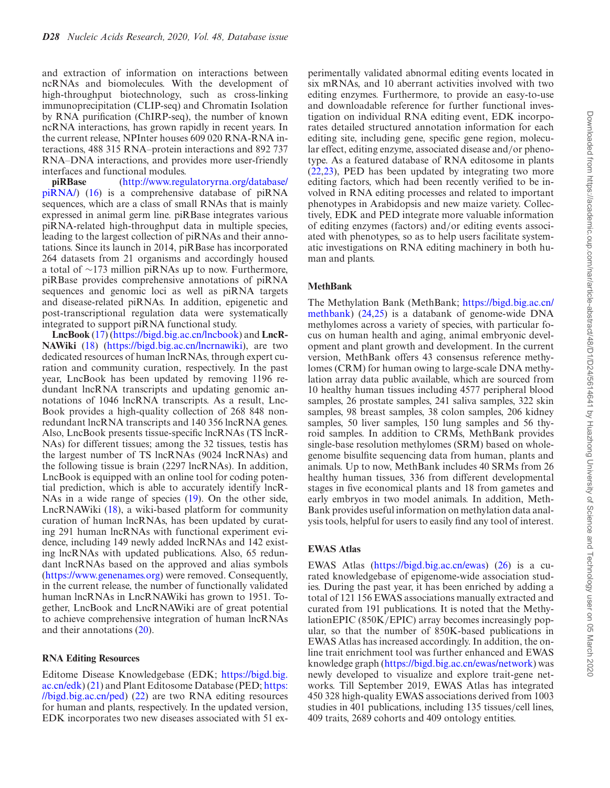and extraction of information on interactions between ncRNAs and biomolecules. With the development of high-throughput biotechnology, such as cross-linking immunoprecipitation (CLIP-seq) and Chromatin Isolation by RNA purification (ChIRP-seq), the number of known ncRNA interactions, has grown rapidly in recent years. In the current release, NPInter houses 609 020 RNA-RNA interactions, 488 315 RNA–protein interactions and 892 737 RNA–DNA interactions, and provides more user-friendly interfaces and functional modules.

**piRBase** (http://www.regulatoryrna.org/database/ [piRNA/\) \(16\) is a comprehensive database of piRNA](http://www.regulatoryrna.org/database/piRNA/) sequences, which are a class of small RNAs that is mainly expressed in animal germ line. piRBase integrates various piRNA-related high-throughput data in multiple species, leading to the largest collection of piRNAs and their annotations. Since its launch in 2014, piRBase has incorporated 264 datasets from 21 organisms and accordingly housed a total of ∼173 million piRNAs up to now. Furthermore, piRBase provides comprehensive annotations of piRNA sequences and genomic loci as well as piRNA targets and disease-related piRNAs. In addition, epigenetic and post-transcriptional regulation data were systematically integrated to support piRNA functional study.

**LncBook** [\(17\)](#page-7-0) [\(https://bigd.big.ac.cn/lncbook\)](https://bigd.big.ac.cn/lncbook) and **LncR-NAWiki** [\(18\)](#page-7-0) [\(https://bigd.big.ac.cn/lncrnawiki\)](https://bigd.big.ac.cn/lncrnawiki), are two dedicated resources of human lncRNAs, through expert curation and community curation, respectively. In the past year, LncBook has been updated by removing 1196 redundant lncRNA transcripts and updating genomic annotations of 1046 lncRNA transcripts. As a result, Lnc-Book provides a high-quality collection of 268 848 nonredundant lncRNA transcripts and 140 356 lncRNA genes. Also, LncBook presents tissue-specific lncRNAs (TS lncR-NAs) for different tissues; among the 32 tissues, testis has the largest number of TS lncRNAs (9024 lncRNAs) and the following tissue is brain (2297 lncRNAs). In addition, LncBook is equipped with an online tool for coding potential prediction, which is able to accurately identify lncR-NAs in a wide range of species [\(19\)](#page-7-0). On the other side, LncRNAWiki [\(18\)](#page-7-0), a wiki-based platform for community curation of human lncRNAs, has been updated by curating 291 human lncRNAs with functional experiment evidence, including 149 newly added lncRNAs and 142 existing lncRNAs with updated publications. Also, 65 redundant lncRNAs based on the approved and alias symbols [\(https://www.genenames.org\)](https://www.genenames.org) were removed. Consequently, in the current release, the number of functionally validated human lncRNAs in LncRNAWiki has grown to 1951. Together, LncBook and LncRNAWiki are of great potential to achieve comprehensive integration of human lncRNAs and their annotations [\(20\)](#page-7-0).

#### **RNA Editing Resources**

Editome Disease Knowledgebase (EDK; https://bigd.big. [ac.cn/edk\) \(21\) and Plant Editosome Database \(PED;](https://bigd.big.ac.cn/edk) https: [//bigd.big.ac.cn/ped\) \(22\) are two RNA editing resources](https://bigd.big.ac.cn/ped) for human and plants, respectively. In the updated version, EDK incorporates two new diseases associated with 51 ex-

perimentally validated abnormal editing events located in six mRNAs, and 10 aberrant activities involved with two editing enzymes. Furthermore, to provide an easy-to-use and downloadable reference for further functional investigation on individual RNA editing event, EDK incorporates detailed structured annotation information for each editing site, including gene, specific gene region, molecular effect, editing enzyme, associated disease and/or phenotype. As a featured database of RNA editosome in plants [\(22,23\)](#page-7-0), PED has been updated by integrating two more editing factors, which had been recently verified to be involved in RNA editing processes and related to important phenotypes in Arabidopsis and new maize variety. Collectively, EDK and PED integrate more valuable information of editing enzymes (factors) and/or editing events associated with phenotypes, so as to help users facilitate systematic investigations on RNA editing machinery in both human and plants.

#### **MethBank**

The Methylation Bank (MethBank; https://bigd.big.ac.cn/ [methbank\) \(24,25\) is a databank of genome-wide DNA](https://bigd.big.ac.cn/methbank) methylomes across a variety of species, with particular focus on human health and aging, animal embryonic development and plant growth and development. In the current version, MethBank offers 43 consensus reference methylomes (CRM) for human owing to large-scale DNA methylation array data public available, which are sourced from 10 healthy human tissues including 4577 peripheral blood samples, 26 prostate samples, 241 saliva samples, 322 skin samples, 98 breast samples, 38 colon samples, 206 kidney samples, 50 liver samples, 150 lung samples and 56 thyroid samples. In addition to CRMs, MethBank provides single-base resolution methylomes (SRM) based on wholegenome bisulfite sequencing data from human, plants and animals. Up to now, MethBank includes 40 SRMs from 26 healthy human tissues, 336 from different developmental stages in five economical plants and 18 from gametes and early embryos in two model animals. In addition, Meth-Bank provides useful information on methylation data analysis tools, helpful for users to easily find any tool of interest.

#### **EWAS Atlas**

EWAS Atlas [\(https://bigd.big.ac.cn/ewas\)](https://bigd.big.ac.cn/ewas) [\(26\)](#page-7-0) is a curated knowledgebase of epigenome-wide association studies. During the past year, it has been enriched by adding a total of 121 156 EWAS associations manually extracted and curated from 191 publications. It is noted that the MethylationEPIC (850K/EPIC) array becomes increasingly popular, so that the number of 850K-based publications in EWAS Atlas has increased accordingly. In addition, the online trait enrichment tool was further enhanced and EWAS knowledge graph [\(https://bigd.big.ac.cn/ewas/network\)](https://bigd.big.ac.cn/ewas/network) was newly developed to visualize and explore trait-gene networks. Till September 2019, EWAS Atlas has integrated 450 328 high-quality EWAS associations derived from 1003 studies in 401 publications, including 135 tissues/cell lines, 409 traits, 2689 cohorts and 409 ontology entities.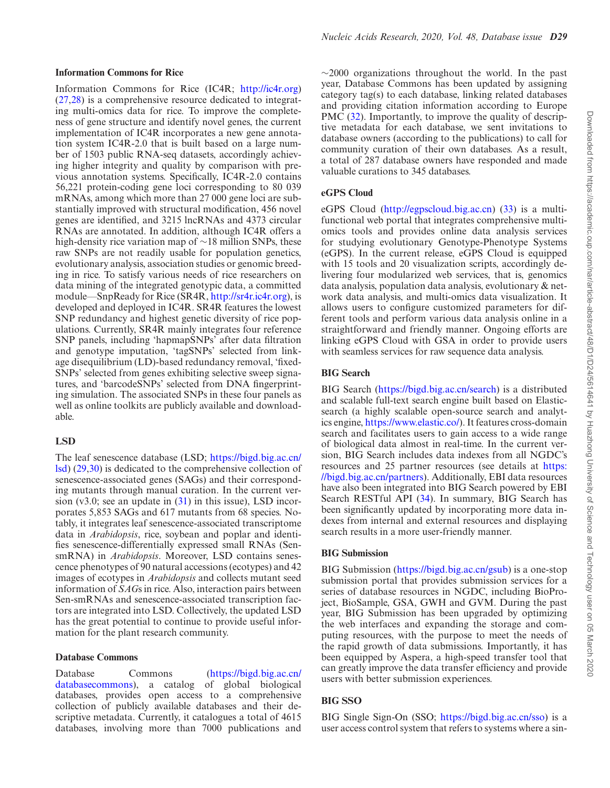#### **Information Commons for Rice**

Information Commons for Rice (IC4R; [http://ic4r.org\)](http://ic4r.org) [\(27,28\)](#page-7-0) is a comprehensive resource dedicated to integrating multi-omics data for rice. To improve the completeness of gene structure and identify novel genes, the current implementation of IC4R incorporates a new gene annotation system IC4R-2.0 that is built based on a large number of 1503 public RNA-seq datasets, accordingly achieving higher integrity and quality by comparison with previous annotation systems. Specifically, IC4R-2.0 contains 56,221 protein-coding gene loci corresponding to 80 039 mRNAs, among which more than 27 000 gene loci are substantially improved with structural modification, 456 novel genes are identified, and 3215 lncRNAs and 4373 circular RNAs are annotated. In addition, although IC4R offers a high-density rice variation map of ∼18 million SNPs, these raw SNPs are not readily usable for population genetics, evolutionary analysis, association studies or genomic breeding in rice. To satisfy various needs of rice researchers on data mining of the integrated genotypic data, a committed module––SnpReady for Rice (SR4R, [http://sr4r.ic4r.org\)](http://sr4r.ic4r.org), is developed and deployed in IC4R. SR4R features the lowest SNP redundancy and highest genetic diversity of rice populations. Currently, SR4R mainly integrates four reference SNP panels, including 'hapmapSNPs' after data filtration and genotype imputation, 'tagSNPs' selected from linkage disequilibrium (LD)-based redundancy removal, 'fixed-SNPs' selected from genes exhibiting selective sweep signatures, and 'barcodeSNPs' selected from DNA fingerprinting simulation. The associated SNPs in these four panels as well as online toolkits are publicly available and downloadable.

#### **LSD**

The leaf senescence database (LSD; https://bigd.big.ac.cn/ [lsd\) \(29,30\) is dedicated to the comprehensive collection of](https://bigd.big.ac.cn/lsd) senescence-associated genes (SAGs) and their corresponding mutants through manual curation. In the current version (v3.0; see an update in [\(31\)](#page-7-0) in this issue), LSD incorporates 5,853 SAGs and 617 mutants from 68 species. Notably, it integrates leaf senescence-associated transcriptome data in *Arabidopsis*, rice, soybean and poplar and identifies senescence-differentially expressed small RNAs (SensmRNA) in *Arabidopsis*. Moreover, LSD contains senescence phenotypes of 90 natural accessions (ecotypes) and 42 images of ecotypes in *Arabidopsis* and collects mutant seed information of *SAG*s in rice. Also, interaction pairs between Sen-smRNAs and senescence-associated transcription factors are integrated into LSD. Collectively, the updated LSD has the great potential to continue to provide useful information for the plant research community.

#### **Database Commons**

[Database Commons \(https://bigd.big.ac.cn/](https://bigd.big.ac.cn/databasecommons) databasecommons), a catalog of global biological databases, provides open access to a comprehensive collection of publicly available databases and their descriptive metadata. Currently, it catalogues a total of 4615 databases, involving more than 7000 publications and

 $\sim$ 2000 organizations throughout the world. In the past year, Database Commons has been updated by assigning category tag(s) to each database, linking related databases and providing citation information according to Europe PMC [\(32\)](#page-7-0). Importantly, to improve the quality of descriptive metadata for each database, we sent invitations to database owners (according to the publications) to call for community curation of their own databases. As a result, a total of 287 database owners have responded and made valuable curations to 345 databases.

#### **eGPS Cloud**

eGPS Cloud [\(http://egpscloud.big.ac.cn\)](http://egpscloud.big.ac.cn) [\(33\)](#page-7-0) is a multifunctional web portal that integrates comprehensive multiomics tools and provides online data analysis services for studying evolutionary Genotype-Phenotype Systems (eGPS). In the current release, eGPS Cloud is equipped with 15 tools and 20 visualization scripts, accordingly delivering four modularized web services, that is, genomics data analysis, population data analysis, evolutionary & network data analysis, and multi-omics data visualization. It allows users to configure customized parameters for different tools and perform various data analysis online in a straightforward and friendly manner. Ongoing efforts are linking eGPS Cloud with GSA in order to provide users with seamless services for raw sequence data analysis.

#### **BIG Search**

BIG Search [\(https://bigd.big.ac.cn/search\)](https://bigd.big.ac.cn/search) is a distributed and scalable full-text search engine built based on Elasticsearch (a highly scalable open-source search and analytics engine, [https://www.elastic.co/\)](https://www.elastic.co/). It features cross-domain search and facilitates users to gain access to a wide range of biological data almost in real-time. In the current version, BIG Search includes data indexes from all NGDC's resources and 25 partner resources (see details at https: [//bigd.big.ac.cn/partners\). Additionally, EBI data resources](https://bigd.big.ac.cn/partners) have also been integrated into BIG Search powered by EBI Search RESTful API [\(34\)](#page-7-0). In summary, BIG Search has been significantly updated by incorporating more data indexes from internal and external resources and displaying search results in a more user-friendly manner.

### **BIG Submission**

BIG Submission [\(https://bigd.big.ac.cn/gsub\)](https://bigd.big.ac.cn/gsub) is a one-stop submission portal that provides submission services for a series of database resources in NGDC, including BioProject, BioSample, GSA, GWH and GVM. During the past year, BIG Submission has been upgraded by optimizing the web interfaces and expanding the storage and computing resources, with the purpose to meet the needs of the rapid growth of data submissions. Importantly, it has been equipped by Aspera, a high-speed transfer tool that can greatly improve the data transfer efficiency and provide users with better submission experiences.

#### **BIG SSO**

BIG Single Sign-On (SSO; [https://bigd.big.ac.cn/sso\)](https://bigd.big.ac.cn/sso) is a user access control system that refers to systems where a sin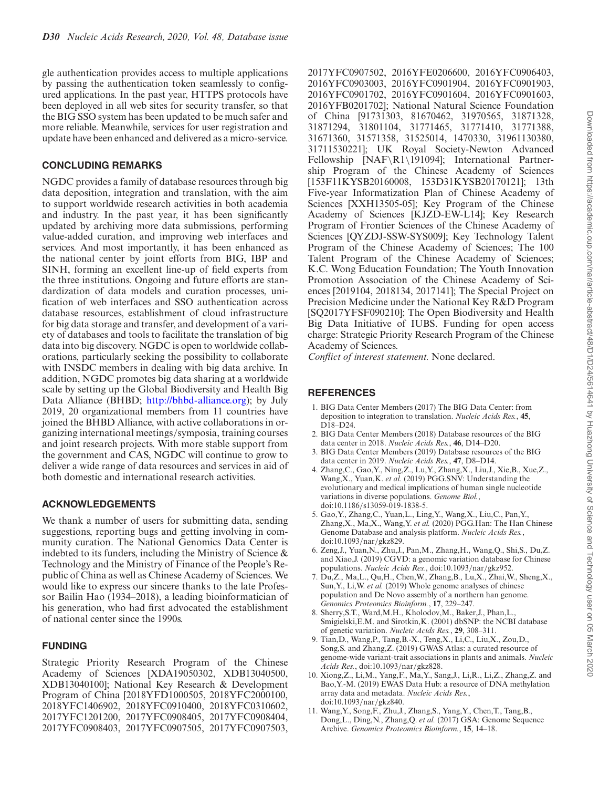<span id="page-6-0"></span>gle authentication provides access to multiple applications by passing the authentication token seamlessly to configured applications. In the past year, HTTPS protocols have been deployed in all web sites for security transfer, so that the BIG SSO system has been updated to be much safer and more reliable. Meanwhile, services for user registration and update have been enhanced and delivered as a micro-service.

# **CONCLUDING REMARKS**

NGDC provides a family of database resources through big data deposition, integration and translation, with the aim to support worldwide research activities in both academia and industry. In the past year, it has been significantly updated by archiving more data submissions, performing value-added curation, and improving web interfaces and services. And most importantly, it has been enhanced as the national center by joint efforts from BIG, IBP and SINH, forming an excellent line-up of field experts from the three institutions. Ongoing and future efforts are standardization of data models and curation processes, unification of web interfaces and SSO authentication across database resources, establishment of cloud infrastructure for big data storage and transfer, and development of a variety of databases and tools to facilitate the translation of big data into big discovery. NGDC is open to worldwide collaborations, particularly seeking the possibility to collaborate with INSDC members in dealing with big data archive. In addition, NGDC promotes big data sharing at a worldwide scale by setting up the Global Biodiversity and Health Big Data Alliance (BHBD; [http://bhbd-alliance.org\)](http://bhbd-alliance.org); by July 2019, 20 organizational members from 11 countries have joined the BHBD Alliance, with active collaborations in organizing international meetings/symposia, training courses and joint research projects. With more stable support from the government and CAS, NGDC will continue to grow to deliver a wide range of data resources and services in aid of both domestic and international research activities.

## **ACKNOWLEDGEMENTS**

We thank a number of users for submitting data, sending suggestions, reporting bugs and getting involving in community curation. The National Genomics Data Center is indebted to its funders, including the Ministry of Science  $\&$ Technology and the Ministry of Finance of the People's Republic of China as well as Chinese Academy of Sciences. We would like to express our sincere thanks to the late Professor Bailin Hao (1934–2018), a leading bioinformatician of his generation, who had first advocated the establishment of national center since the 1990s.

## **FUNDING**

Strategic Priority Research Program of the Chinese Academy of Sciences [XDA19050302, XDB13040500, XDB13040100]; National Key Research & Development Program of China [2018YFD1000505, 2018YFC2000100, 2018YFC1406902, 2018YFC0910400, 2018YFC0310602, 2017YFC1201200, 2017YFC0908405, 2017YFC0908404, 2017YFC0908403, 2017YFC0907505, 2017YFC0907503,

2017YFC0907502, 2016YFE0206600, 2016YFC0906403, 2016YFC0903003, 2016YFC0901904, 2016YFC0901903, 2016YFC0901702, 2016YFC0901604, 2016YFC0901603, 2016YFB0201702]; National Natural Science Foundation of China [91731303, 81670462, 31970565, 31871328, 31871294, 31801104, 31771465, 31771410, 31771388, 31671360, 31571358, 31525014, 1470330, 31961130380, 31711530221]; UK Royal Society-Newton Advanced Fellowship [NAF\R1\191094]; International Partnership Program of the Chinese Academy of Sciences [153F11KYSB20160008, 153D31KYSB20170121]; 13th Five-year Informatization Plan of Chinese Academy of Sciences [XXH13505-05]; Key Program of the Chinese Academy of Sciences [KJZD-EW-L14]; Key Research Program of Frontier Sciences of the Chinese Academy of Sciences [QYZDJ-SSW-SYS009]; Key Technology Talent Program of the Chinese Academy of Sciences; The 100 Talent Program of the Chinese Academy of Sciences; K.C. Wong Education Foundation; The Youth Innovation Promotion Association of the Chinese Academy of Sciences [2019104, 2018134, 2017141]; The Special Project on Precision Medicine under the National Key R&D Program [SQ2017YFSF090210]; The Open Biodiversity and Health Big Data Initiative of IUBS. Funding for open access charge: Strategic Priority Research Program of the Chinese Academy of Sciences.

*Conflict of interest statement.* None declared.

# **REFERENCES**

- 1. BIG Data Center Members (2017) The BIG Data Center: from deposition to integration to translation. *Nucleic Acids Res.*, **45**, D18–D24.
- 2. BIG Data Center Members (2018) Database resources of the BIG data center in 2018. *Nucleic Acids Res.*, **46**, D14–D20.
- 3. BIG Data Center Members (2019) Database resources of the BIG data center in 2019. *Nucleic Acids Res.*, **47**, D8–D14.
- 4. Zhang,C., Gao,Y., Ning,Z., Lu,Y., Zhang,X., Liu,J., Xie,B., Xue,Z., Wang,X., Yuan,K. *et al.* (2019) PGG.SNV: Understanding the evolutionary and medical implications of human single nucleotide variations in diverse populations. *Genome Biol.*, doi:10.1186/s13059-019-1838-5.
- 5. Gao,Y., Zhang,C., Yuan,L., Ling,Y., Wang,X., Liu,C., Pan,Y., Zhang,X., Ma,X., Wang,Y. *et al.* (2020) PGG.Han: The Han Chinese Genome Database and analysis platform. *Nucleic Acids Res.*, doi:10.1093/nar/gkz829.
- 6. Zeng,J., Yuan,N., Zhu,J., Pan,M., Zhang,H., Wang,Q., Shi,S., Du,Z. and Xiao,J. (2019) CGVD: a genomic variation database for Chinese populations. *Nucleic Acids Res.*, doi:10.1093/nar/gkz952.
- 7. Du,Z., Ma,L., Qu,H., Chen,W., Zhang,B., Lu,X., Zhai,W., Sheng,X., Sun, Y., Li, W. *et al.* (2019) Whole genome analyses of chinese population and De Novo assembly of a northern han genome. *Genomics Proteomics Bioinform.*, **17**, 229–247.
- 8. Sherry,S.T., Ward,M.H., Kholodov,M., Baker,J., Phan,L., Smigielski,E.M. and Sirotkin,K. (2001) dbSNP: the NCBI database of genetic variation. *Nucleic Acids Res.*, **29**, 308–311.
- 9. Tian,D., Wang,P., Tang,B.-X., Teng,X., Li,C., Liu,X., Zou,D., Song,S. and Zhang,Z. (2019) GWAS Atlas: a curated resource of genome-wide variant-trait associations in plants and animals. *Nucleic Acids Res.*, doi:10.1093/nar/gkz828.
- 10. Xiong,Z., Li,M., Yang,F., Ma,Y., Sang,J., Li,R., Li,Z., Zhang,Z. and Bao,Y.-M. (2019) EWAS Data Hub: a resource of DNA methylation array data and metadata. *Nucleic Acids Res.*, doi:10.1093/nar/gkz840.
- 11. Wang,Y., Song,F., Zhu,J., Zhang,S., Yang,Y., Chen,T., Tang,B., Dong,L., Ding,N., Zhang,Q. *et al.* (2017) GSA: Genome Sequence Archive. *Genomics Proteomics Bioinform.*, **15**, 14–18.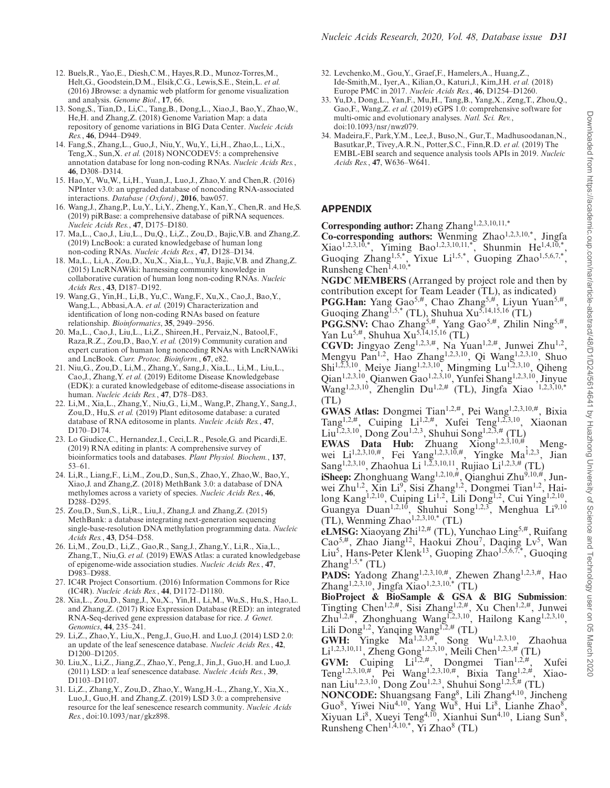- <span id="page-7-0"></span>12. Buels,R., Yao,E., Diesh,C.M., Hayes,R.D., Munoz-Torres,M., Helt,G., Goodstein,D.M., Elsik,C.G., Lewis,S.E., Stein,L. *et al.* (2016) JBrowse: a dynamic web platform for genome visualization and analysis. *Genome Biol.*, **17**, 66.
- 13. Song,S., Tian,D., Li,C., Tang,B., Dong,L., Xiao,J., Bao,Y., Zhao,W., He,H. and Zhang,Z. (2018) Genome Variation Map: a data repository of genome variations in BIG Data Center. *Nucleic Acids Res.*, **46**, D944–D949.
- 14. Fang,S., Zhang,L., Guo,J., Niu,Y., Wu,Y., Li,H., Zhao,L., Li,X., Teng,X., Sun,X. *et al.* (2018) NONCODEV5: a comprehensive annotation database for long non-coding RNAs. *Nucleic Acids Res.*, **46**, D308–D314.
- 15. Hao,Y., Wu,W., Li,H., Yuan,J., Luo,J., Zhao,Y. and Chen,R. (2016) NPInter v3.0: an upgraded database of noncoding RNA-associated interactions. *Database (Oxford)*, **2016**, baw057.
- 16. Wang,J., Zhang,P., Lu,Y., Li,Y., Zheng,Y., Kan,Y., Chen,R. and He,S. (2019) piRBase: a comprehensive database of piRNA sequences. *Nucleic Acids Res.*, **47**, D175–D180.
- 17. Ma,L., Cao,J., Liu,L., Du,Q., Li,Z., Zou,D., Bajic,V.B. and Zhang,Z. (2019) LncBook: a curated knowledgebase of human long non-coding RNAs. *Nucleic Acids Res.*, **47**, D128–D134.
- 18. Ma,L., Li,A., Zou,D., Xu,X., Xia,L., Yu,J., Bajic,V.B. and Zhang,Z. (2015) LncRNAWiki: harnessing community knowledge in collaborative curation of human long non-coding RNAs. *Nucleic Acids Res.*, **43**, D187–D192.
- 19. Wang,G., Yin,H., Li,B., Yu,C., Wang,F., Xu,X., Cao,J., Bao,Y., Wang,L., Abbasi,A.A. *et al.* (2019) Characterization and identification of long non-coding RNAs based on feature relationship. *Bioinformatics*, **35**, 2949–2956.
- 20. Ma,L., Cao,J., Liu,L., Li,Z., Shireen,H., Pervaiz,N., Batool,F., Raza,R.Z., Zou,D., Bao,Y. *et al.* (2019) Community curation and expert curation of human long noncoding RNAs with LncRNAWiki and LncBook. *Curr. Protoc. Bioinform.*, **67**, e82.
- 21. Niu,G., Zou,D., Li,M., Zhang,Y., Sang,J., Xia,L., Li,M., Liu,L., Cao,J., Zhang,Y. *et al.* (2019) Editome Disease Knowledgebase (EDK): a curated knowledgebase of editome-disease associations in human. *Nucleic Acids Res.*, **47**, D78–D83.
- 22. Li,M., Xia,L., Zhang,Y., Niu,G., Li,M., Wang,P., Zhang,Y., Sang,J., Zou,D., Hu,S. *et al.* (2019) Plant editosome database: a curated database of RNA editosome in plants. *Nucleic Acids Res.*, **47**, D170–D174.
- 23. Lo Giudice,C., Hernandez,I., Ceci,L.R., Pesole,G. and Picardi,E. (2019) RNA editing in plants: A comprehensive survey of bioinformatics tools and databases. *Plant Physiol. Biochem.*, **137**, 53–61.
- 24. Li,R., Liang,F., Li,M., Zou,D., Sun,S., Zhao,Y., Zhao,W., Bao,Y., Xiao,J. and Zhang,Z. (2018) MethBank 3.0: a database of DNA methylomes across a variety of species. *Nucleic Acids Res.*, **46**, D288–D295.
- 25. Zou,D., Sun,S., Li,R., Liu,J., Zhang,J. and Zhang,Z. (2015) MethBank: a database integrating next-generation sequencing single-base-resolution DNA methylation programming data. *Nucleic Acids Res.*, **43**, D54–D58.
- 26. Li,M., Zou,D., Li,Z., Gao,R., Sang,J., Zhang,Y., Li,R., Xia,L., Zhang,T., Niu,G. *et al.* (2019) EWAS Atlas: a curated knowledgebase of epigenome-wide association studies. *Nucleic Acids Res.*, **47**, D983–D988.
- 27. IC4R Project Consortium. (2016) Information Commons for Rice (IC4R). *Nucleic Acids Res.*, **44**, D1172–D1180.
- 28. Xia,L., Zou,D., Sang,J., Xu,X., Yin,H., Li,M., Wu,S., Hu,S., Hao,L. and Zhang,Z. (2017) Rice Expression Database (RED): an integrated RNA-Seq-derived gene expression database for rice. *J. Genet. Genomics*, **44**, 235–241.
- 29. Li,Z., Zhao,Y., Liu,X., Peng,J., Guo,H. and Luo,J. (2014) LSD 2.0: an update of the leaf senescence database. *Nucleic Acids Res.*, **42**, D1200–D1205.
- 30. Liu,X., Li,Z., Jiang,Z., Zhao,Y., Peng,J., Jin,J., Guo,H. and Luo,J. (2011) LSD: a leaf senescence database. *Nucleic Acids Res.*, **39**, D1103–D1107.
- 31. Li,Z., Zhang,Y., Zou,D., Zhao,Y., Wang,H.-L., Zhang,Y., Xia,X., Luo,J., Guo,H. and Zhang,Z. (2019) LSD 3.0: a comprehensive resource for the leaf senescence research community. *Nucleic Acids Res.*, doi:10.1093/nar/gkz898.
- 32. Levchenko,M., Gou,Y., Graef,F., Hamelers,A., Huang,Z., Ide-Smith,M., Iyer,A., Kilian,O., Katuri,J., Kim,J.H. *et al.* (2018) Europe PMC in 2017. *Nucleic Acids Res.*, **46**, D1254–D1260.
- 33. Yu,D., Dong,L., Yan,F., Mu,H., Tang,B., Yang,X., Zeng,T., Zhou,Q., Gao,F., Wang,Z. *et al.* (2019) eGPS 1.0: comprehensive software for multi-omic and evolutionary analyses. *Natl. Sci. Rev.*, doi:10.1093/nsr/nwz079.
- 34. Madeira,F., Park,Y.M., Lee,J., Buso,N., Gur,T., Madhusoodanan,N., Basutkar,P., Tivey,A.R.N., Potter,S.C., Finn,R.D. *et al.* (2019) The EMBL-EBI search and sequence analysis tools APIs in 2019. *Nucleic Acids Res.*, **47**, W636–W641.

## **APPENDIX**

Corresponding author: Zhang Zhang<sup>1,2,3,10,11,\*</sup>

Co-corresponding authors: Wenming Zhao<sup>1,2,3,10,\*</sup>, Jingfa  $Xiao^{1,2,3,10,*}$ , Yiming Bao<sup>1,2,3,10,11,\*</sup>, Shunmin He<sup>1,4,10,\*</sup>, Guoqing Zhang<sup>1,5,\*</sup>, Yixue Li<sup>1,5,\*</sup>, Guoping Zhao<sup>1,5,6,7,\*</sup>, Runsheng Chen1,4,10,\*

**NGDC MEMBERS** (Arranged by project role and then by contribution except for Team Leader (TL), as indicated) PGG.Han: Yang Gao<sup>5,#</sup>, Chao Zhang<sup>5,#</sup>, Liyun Yuan<sup>5,#</sup>,

Guoqing Zhang<sup>1,5,\*</sup> (TL), Shuhua Xu<sup>5,14,15,16</sup> (TL)

**PGG.SNV:** Chao Zhang<sup>5,#</sup>, Yang Gao<sup>5,#</sup>, Zhilin Ning<sup>5,#</sup>, Yan Lu<sup>5,#</sup>, Shuhua Xu<sup>5,14,15,16</sup> (TL)

CGVD: Jingyao Zeng<sup>1,2,3,#</sup>, Na Yuan<sup>1,2,#</sup>, Junwei Zhu<sup>1,2</sup>, Mengyu Pan<sup>1,2</sup>, Hao Zhang<sup>1,2,3,10</sup>, Qi Wang<sup>1,2,3,10</sup>, Shuo Shi<sup>1,2,3,10</sup>, Meiye Jiang<sup>1,2,3,10</sup>, Mingming Lu<sup>1,2,3,10</sup>, Qiheng Qian1,2,3,10, Qianwen Gao1,2,3,10, Yunfei Shang1,2,3,10, Jinyue Wang<sup>1,2,3,10</sup>, Zhenglin Du<sup>1,2,#</sup> (TL), Jingfa Xiao <sup>1,2,3,10,\*</sup> (TL)

**GWAS Atlas:** Dongmei Tian1,2,#, Pei Wang1,2,3,10,#, Bixia Tang1,2,#, Cuiping Li1,2,#, Xufei Teng1,2,3,10, Xiaonan Liu<sup>1,2,3,10</sup>, Dong Zou<sup>1,2,3</sup>, Shuhui Song<sup>1,2,3,#</sup> (TL)

**EWAS Data Hub:** Zhuang Xiong<sup>1,2,3,10,#</sup>, Mengwei Li<sup>1,2,3,10,#</sup>, Fei Yang<sup>1,2,3,10,#</sup>, Yingke Ma<sup>1,2,3</sup>, Jian Sang<sup>1,2,3,10</sup>, Zhaohua Li <sup>1,2,3,10,11</sup>, Rujiao Li<sup>1,2,3,#</sup> (TL)

**iSheep:** Zhonghuang Wang1,2,10,#, Qianghui Zhu9,10,#, Junwei Zhu<sup>1,2</sup>, Xin Li<sup>9</sup>, Sisi Zhang<sup>1,2</sup>, Dongmei Tian<sup>1,2</sup>, Hailong Kang<sup>1,2,10</sup>, Cuiping Li<sup>1,2</sup>, Lili Dong<sup>1,2</sup>, Cui Ying<sup>1,2,10</sup>, Guangya Duan<sup>1,2,10</sup>, Shuhui Song<sup>1,2,3</sup>, Menghua Li<sup>9,10</sup> (TL), Wenming Zhao<sup>1,2,3,10,\*</sup> (TL)

eLMSG: Xiaoyang Zhi<sup>12,#</sup> (TL), Yunchao Ling<sup>5,#</sup>, Ruifang Cao<sup>5,#</sup>, Zhao Jiang<sup>12</sup>, Haokui Zhou<sup>7</sup>, Daqing Lv<sup>5</sup>, Wan Liu<sup>5</sup>, Hans-Peter Klenk<sup>13</sup>, Guoping Zhao<sup>1,5,6,7,\*</sup>, Guoqing  $\text{Zhang}^{1,5,*}$  (TL)

PADS: Yadong Zhang<sup>1,2,3,10,#</sup>, Zhewen Zhang<sup>1,2,3,#</sup>, Hao Zhang<sup>1,2,3,10</sup>, Jingfa Xiao<sup>1,2,3,10,\*</sup> (TL)

**BioProject & BioSample & GSA & BIG Submission**: Tingting Chen<sup>1,2,#</sup>, Sisi Zhang<sup>1,2,#</sup>, Xu Chen<sup>1,2,#</sup>, Junwei Zhu<sup>1,2,#</sup>, Zhonghuang Wang<sup>1,2,3,10</sup>, Hailong Kang<sup>1,2,3,10</sup>, Lili Dong<sup>1,2</sup>, Yanqing Wang<sup>1,2,#</sup> (TL)

**GWH:** Yingke Ma1,2,3,#, Song Wu1,2,3,10, Zhaohua Li<sup>1,2,3,10,11</sup>, Zheng Gong<sup>1,2,3,10</sup>, Meili Chen<sup>1,2,3,#</sup> (TL)

GVM: Cuiping Li<sup>1,2,#</sup>, Dongmei Tian<sup>1,2,#</sup>, Xufei Teng1,2,3,10,#, Pei Wang1,2,3,10,#, Bixia Tang1,2,#, Xiaonan Liu<sup>1,2,3,10</sup>, Dong Zou<sup>1,2,3</sup>, Shuhui Song<sup>1,2,3,#</sup> (TL)

**NONCODE:** Shuangsang Fang<sup>8</sup>, Lili Zhang<sup>4,10</sup>, Jincheng Guo<sup>8</sup>, Yiwei Niu<sup>4,10</sup>, Yang Wu<sup>8</sup>, Hui Li<sup>8</sup>, Lianhe Zhao<sup>8</sup>, Xiyuan Li $^8$ , Xueyi Teng<sup>4,10</sup>, Xianhui Sun<sup>4,10</sup>, Liang Sun<sup>8</sup>, Runsheng Chen<sup>1,4,10,\*</sup>, Yi Zhao<sup>8</sup> (TL)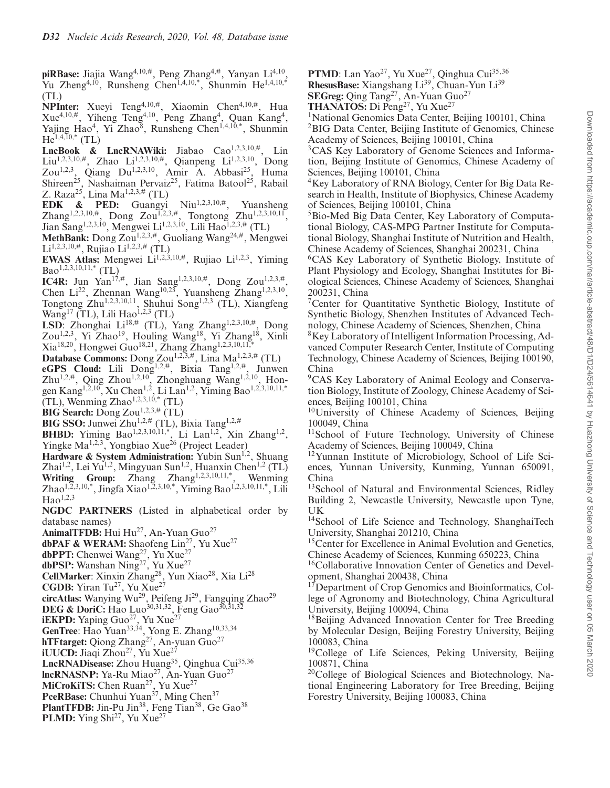**piRBase:** Jiajia Wang4,10,#, Peng Zhang4,#, Yanyan Li4,10, Yu Zheng<sup>4,10</sup>, Runsheng Chen<sup>1,4,10,\*</sup>, Shunmin He<sup>1,4,10,\*</sup> (TL)

**NPInter:** Xueyi Teng4,10,#, Xiaomin Chen4,10,#, Hua  $Xue^{4,10,\#}$ , Yiheng Teng<sup>4,10</sup>, Peng Zhang<sup>4</sup>, Quan Kang<sup>4</sup>, Yajing Hao<sup>4</sup>, Yi Zhao<sup>8</sup>, Runsheng Chen<sup>1,4,10,\*</sup>, Shunmin  $He^{1,4,\overline{1}0,*}$  (TL)

LncBook & LncRNAWiki: Jiabao Cao<sup>1,2,3,10,#</sup>, Lin Liu<sup>1,2,3,10,#</sup>, Zhao Li<sup>1,2,3,10,#</sup>, Qianpeng Li<sup>1,2,3,10</sup>, Dong Zou<sup>1,2,3</sup>, Qiang Du<sup>1,2,3,10</sup>, Amir A. Abbasi<sup>25</sup>, Huma Shireen<sup>25</sup>, Nashaiman Pervaiz<sup>25</sup>, Fatima Batool<sup>25</sup>, Rabail Z. Raza<sup>25</sup>, Lina Ma<sup>1,2,3,#</sup> (TL)

**EDK & PED:** Guangyi Niu<sup>1,2,3,10,#</sup>, Yuansheng Zhang<sup>1,2,3,10,#</sup>, Dong Zou<sup>1,2,3,#</sup>, Tongtong Zhu<sup>1,2,3,10,11</sup>, Jian Sang<sup>1,2,3,10</sup>, Mengwei Li<sup>1,2,3,10</sup>, Lili Hao<sup>1,2,3,#</sup> (TL)

MethBank: Dong Zou<sup>1,2,3,#</sup>, Guoliang Wang<sup>24,#</sup>, Mengwei Li<sup>1,2,3,10,#</sup>, Rujiao Li<sup>1,2,3,#</sup> (TL)

**EWAS Atlas:** Mengwei Li<sup>1,2,3,10,#</sup>, Rujiao Li<sup>1,2,3</sup>, Yiming Bao<sup>1,2,3,10,11,\*</sup> (TL)

**IC4R:** Jun Yan<sup>17,#</sup>, Jian Sang<sup>1,2,3,10,#</sup>, Dong Zou<sup>1,2,3,#</sup>, Chen Li<sup>22</sup>, Zhennan Wang<sup>10,23</sup>, Yuansheng Zhang<sup>1,2,3,10</sup>, Tongtong Zhu1,2,3,10,11, Shuhui Song1,2,3 (TL), Xiangfeng Wang<sup>17</sup> (TL), Lili Hao<sup>1,2,3</sup> (TL)

LSD: Zhonghai Li<sup>18,#</sup> (TL), Yang Zhang<sup>1,2,3,10,#</sup>, Dong Zou<sup>1,2,3</sup>, Yi Zhao<sup>19</sup>, Houling Wang<sup>18</sup>, Yi Zhang<sup>18</sup>, Xinli Xia<sup>18,20</sup>, Hongwei Guo<sup>18,21</sup>, Zhang Zhang<sup>1,2,3,10,11,\*</sup>

**Database Commons:** Dong Zou1,2,3,#, Lina Ma1,2,3,# (TL)

**eGPS Cloud:** Lili Dong1,2,#, Bixia Tang1,2,#, Junwen Zhu<sup>1,2,#</sup>, Qing Zhou<sup>1,2,10</sup>, Zhonghuang Wang<sup>1,2,10</sup>, Hongen Kang<sup>1,2,10</sup>, Xu Chen<sup>1,2</sup>, Li Lan<sup>1,2</sup>, Yiming Bao<sup>1,2,3,10,11,\*</sup>  $(TL)$ , Wenming Zhao<sup>1,2,3,10,\*</sup> (TL)

**BIG Search:** Dong Zou<sup>1,2,3,#</sup> (TL)

**BIG SSO:** Junwei Zhu1,2,# (TL), Bixia Tang1,2,#

**BHBD:** Yiming Bao<sup>1,2,3,10,11,\*, Li Lan<sup>1,2</sup>, Xin Zhang<sup>1,2</sup>,</sup>

Yingke Ma<sup>1,2,3</sup>, Yongbiao Xue<sup>26</sup> (Project Leader)

Hardware & System Administration: Yubin Sun<sup>1,2</sup>, Shuang Zhai<sup>1,2</sup>, Lei Yu<sup>1,2</sup>, Mingyuan Sun<sup>1,2</sup>, Huanxin Chen<sup>1,2</sup> (TL)

Writing Group: Zhang Zhang<sup>1,2,3,10,11,\*</sup>, Wenming Zhao<sup>1,2,3,10,\*</sup>, Jingfa Xiao<sup>1,2,3,10,\*</sup>, Yiming Bao<sup>1,2,3,10,11,\*</sup>, Lili  $Hao<sup>1,2,3</sup>$ 

**NGDC PARTNERS** (Listed in alphabetical order by database names)

AnimalTFDB: Hui Hu<sup>27</sup>, An-Yuan Guo<sup>27</sup>

dbPAF & WERAM: Shaofeng Lin<sup>27</sup>, Yu Xue<sup>27</sup>

**dbPPT:** Chenwei Wang27, Yu Xue27

**dbPSP:** Wanshan Ning<sup>27</sup>, Yu Xue<sup>27</sup>

CellMarker: Xinxin Zhang<sup>28</sup>, Yun Xiao<sup>28</sup>, Xia Li<sup>28</sup>

**CGDB:** Yiran Tu<sup>27</sup>, Yu Xue<sup>27</sup>

**circAtlas:** Wanying Wu29, Peifeng Ji29, Fangqing Zhao29

**DEG & DoriC:** Hao Luo<sup>30,31,32</sup>, Feng Gao<sup>30,31,32</sup>

**iEKPD:** Yaping Guo<sup>27</sup>, Yu Xue<sup>27</sup>

GenTree: Hao Yuan<sup>33,34</sup>, Yong E. Zhang<sup>10,33,34</sup>

**hTFtarget:** Qiong Zhang<sup>27</sup>, An-yuan Guo<sup>27</sup>

**iUUCD:** Jiaqi Zhou<sup>27</sup>, Yu Xue<sup>2</sup>

LncRNADisease: Zhou Huang<sup>35</sup>, Oinghua Cui<sup>35,36</sup>

**lncRNASNP:** Ya-Ru Miao<sup>27</sup>, An-Yuan Guo<sup>27</sup>

MiCroKiTS: Chen Ruan<sup>27</sup>, Yu Xue<sup>27</sup>

**PceRBase:** Chunhui Yuan<sup>37</sup>, Ming Chen<sup>37</sup>

PlantTFDB: Jin-Pu Jin<sup>38</sup>, Feng Tian<sup>38</sup>, Ge Gao<sup>38</sup>

**PLMD:** Ying Shi<sup>27</sup>, Yu Xue<sup>27</sup>

PTMD: Lan Yao<sup>27</sup>, Yu Xue<sup>27</sup>, Qinghua Cui<sup>35,36</sup>

RhesusBase: Xiangshang Li<sup>39</sup>, Chuan-Yun Li<sup>39</sup>

**SEGreg:** Qing Tang<sup>27</sup>, An-Yuan Guo<sup>27</sup>

THANATOS: Di Peng<sup>27</sup>, Yu Xue<sup>27</sup>

<sup>1</sup>National Genomics Data Center, Beijing 100101, China <sup>2</sup>BIG Data Center, Beijing Institute of Genomics, Chinese Academy of Sciences, Beijing 100101, China

3CAS Key Laboratory of Genome Sciences and Information, Beijing Institute of Genomics, Chinese Academy of Sciences, Beijing 100101, China

4Key Laboratory of RNA Biology, Center for Big Data Research in Health, Institute of Biophysics, Chinese Academy of Sciences, Beijing 100101, China

5Bio-Med Big Data Center, Key Laboratory of Computational Biology, CAS-MPG Partner Institute for Computational Biology, Shanghai Institute of Nutrition and Health, Chinese Academy of Sciences, Shanghai 200231, China

6CAS Key Laboratory of Synthetic Biology, Institute of Plant Physiology and Ecology, Shanghai Institutes for Biological Sciences, Chinese Academy of Sciences, Shanghai 200231, China

7Center for Quantitative Synthetic Biology, Institute of Synthetic Biology, Shenzhen Institutes of Advanced Technology, Chinese Academy of Sciences, Shenzhen, China

8Key Laboratory of Intelligent Information Processing, Advanced Computer Research Center, Institute of Computing Technology, Chinese Academy of Sciences, Beijing 100190, China

9CAS Key Laboratory of Animal Ecology and Conservation Biology, Institute of Zoology, Chinese Academy of Sciences, Beijing 100101, China

10University of Chinese Academy of Sciences, Beijing 100049, China

<sup>11</sup>School of Future Technology, University of Chinese Academy of Sciences, Beijing 100049, China

12Yunnan Institute of Microbiology, School of Life Sciences, Yunnan University, Kunming, Yunnan 650091, China

<sup>13</sup>School of Natural and Environmental Sciences, Ridley Building 2, Newcastle University, Newcastle upon Tyne, UK

<sup>14</sup>School of Life Science and Technology, ShanghaiTech University, Shanghai 201210, China

<sup>15</sup>Center for Excellence in Animal Evolution and Genetics, Chinese Academy of Sciences, Kunming 650223, China

<sup>16</sup>Collaborative Innovation Center of Genetics and Development, Shanghai 200438, China

<sup>17</sup>Department of Crop Genomics and Bioinformatics, College of Agronomy and Biotechnology, China Agricultural University, Beijing 100094, China

<sup>18</sup>Beijing Advanced Innovation Center for Tree Breeding by Molecular Design, Beijing Forestry University, Beijing 100083, China

<sup>19</sup>College of Life Sciences, Peking University, Beijing 100871, China

20College of Biological Sciences and Biotechnology, National Engineering Laboratory for Tree Breeding, Beijing Forestry University, Beijing 100083, China